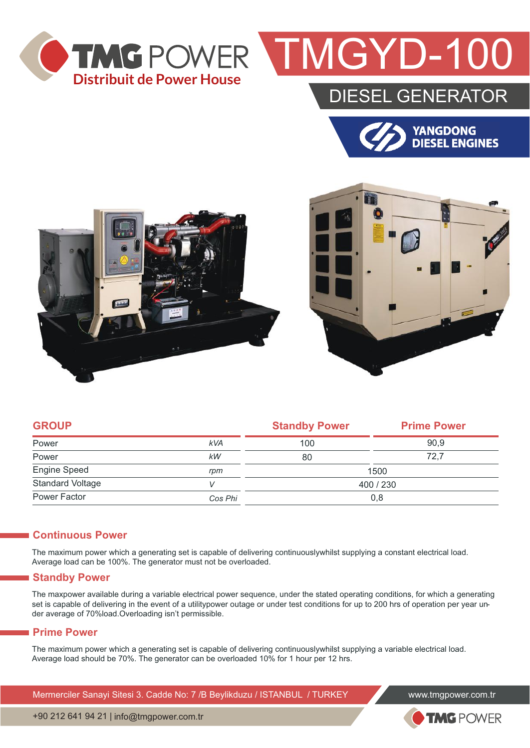

## TMGYD-100

### DIESEL GENERATOR







| <b>GROUP</b>            |            | <b>Standby Power</b> | <b>Prime Power</b> |  |
|-------------------------|------------|----------------------|--------------------|--|
| Power                   | <b>kVA</b> | 100                  | 90,9               |  |
| Power                   | kW         | 80                   | 72,7               |  |
| Engine Speed            | rpm        | 1500                 |                    |  |
| <b>Standard Voltage</b> | V          | 400 / 230            |                    |  |
| Power Factor            | Cos Phi    | 0,8                  |                    |  |

#### **Continuous Power**

The maximum power which a generating set is capable of delivering continuouslywhilst supplying a constant electrical load. Average load can be 100%. The generator must not be overloaded.

#### **Standby Power**

The maxpower available during a variable electrical power sequence, under the stated operating conditions, for which a generating set is capable of delivering in the event of a utilitypower outage or under test conditions for up to 200 hrs of operation per year under average of 70%load.Overloading isn't permissible.

#### **Prime Power**

The maximum power which a generating set is capable of delivering continuouslywhilst supplying a variable electrical load. Average load should be 70%. The generator can be overloaded 10% for 1 hour per 12 hrs.

Mermerciler Sanayi Sitesi 3. Cadde No: 7 /B Beylikduzu / ISTANBUL / TURKEY www.tmgpower.com.tr



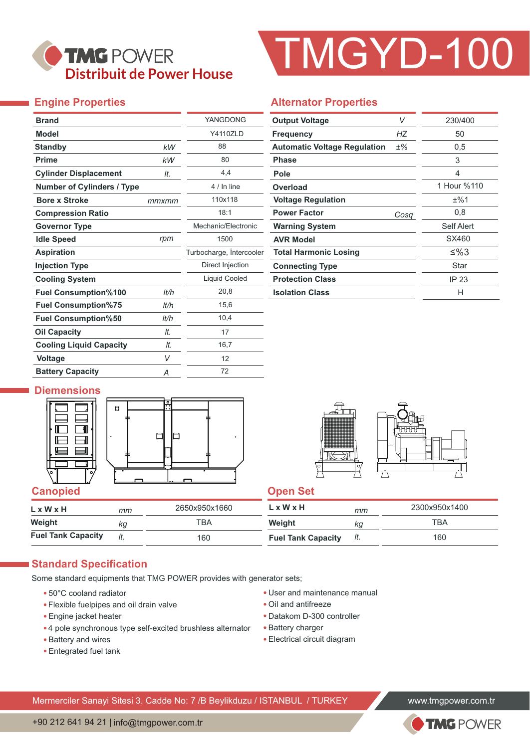### TMG POWER **Distribuit de Power House**

# TMGYD-100

### **Engine Properties**

|       | YANGDONG                 |  |  |
|-------|--------------------------|--|--|
|       | <b>Y4110ZLD</b>          |  |  |
| kW    | 88                       |  |  |
| kW    | 80                       |  |  |
| It.   | 4,4                      |  |  |
|       | 4 / In line              |  |  |
| mmxmm | 110x118                  |  |  |
|       | 18:1                     |  |  |
|       | Mechanic/Electronic      |  |  |
| rpm   | 1500                     |  |  |
|       | Turbocharge, Intercooler |  |  |
|       | Direct Injection         |  |  |
|       | <b>Liquid Cooled</b>     |  |  |
| lt/h  | 20,8                     |  |  |
| lt/h  | 15,6                     |  |  |
| It/h  | 10,4                     |  |  |
| It.   | 17                       |  |  |
| It.   | 16,7                     |  |  |
| V     | 12                       |  |  |
| Α     | 72                       |  |  |
|       |                          |  |  |

### **Alternator Properties**

| <b>Output Voltage</b>               | V     | 230/400     |
|-------------------------------------|-------|-------------|
| <b>Frequency</b>                    | НZ    | 50          |
| <b>Automatic Voltage Regulation</b> | $±\%$ | 0,5         |
| <b>Phase</b>                        |       | 3           |
| Pole                                |       | 4           |
| Overload                            |       | 1 Hour %110 |
| <b>Voltage Regulation</b>           |       | ±%1         |
| <b>Power Factor</b>                 | Cosa  | 0,8         |
| <b>Warning System</b>               |       | Self Alert  |
| <b>AVR Model</b>                    |       | SX460       |
| <b>Total Harmonic Losing</b>        |       | ≤%3         |
| <b>Connecting Type</b>              |       | Star        |
| <b>Protection Class</b>             |       | IP 23       |
| <b>Isolation Class</b>              |       | н           |

#### **Diemensions**





| $L \times W \times H$     | mm | 2650x950x1660 | L x W x H                 | mm  | 2300x950x1400 |
|---------------------------|----|---------------|---------------------------|-----|---------------|
| Weight                    | kq | TBA           | Weight                    | κg  | TBA           |
| <b>Fuel Tank Capacity</b> |    | 160           | <b>Fuel Tank Capacity</b> | It. | 160           |

#### **Standard Specification**

Some standard equipments that TMG POWER provides with generator sets;

- 50°C cooland radiator
- Flexible fuelpipes and oil drain valve
- Engine jacket heater
- 4 pole synchronous type self-excited brushless alternator
- Battery and wires
- Entegrated fuel tank
- User and maintenance manual
- Oil and antifreeze
- Datakom D-300 controller
- Battery charger
- Electrical circuit diagram

Mermerciler Sanayi Sitesi 3. Cadde No: 7 /B Beylikduzu / ISTANBUL / TURKEY www.tmgpower.com.tr